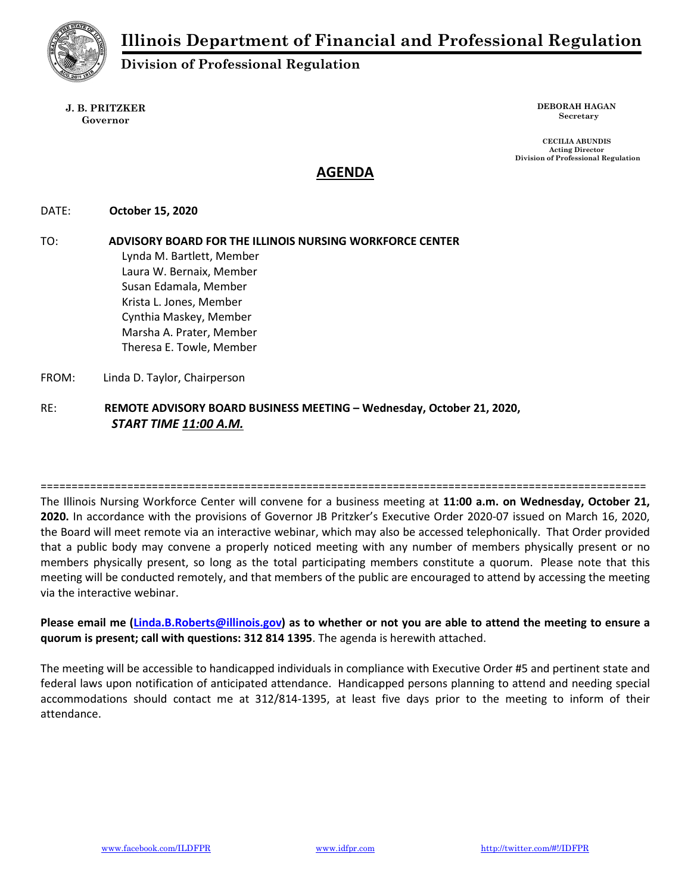

Division of Professional Regulation

J. B. PRITZKER Governor

DEBORAH HAGAN Secretary

CECILIA ABUNDIS Acting Director Division of Professional Regulation

# AGENDA

DATE: October 15, 2020

TO: ADVISORY BOARD FOR THE ILLINOIS NURSING WORKFORCE CENTER Lynda M. Bartlett, Member Laura W. Bernaix, Member Susan Edamala, Member Krista L. Jones, Member Cynthia Maskey, Member Marsha A. Prater, Member Theresa E. Towle, Member FROM: Linda D. Taylor, Chairperson

RE: REMOTE ADVISORY BOARD BUSINESS MEETING – Wednesday, October 21, 2020, START TIME 11:00 A.M.

==================================================================================================

The Illinois Nursing Workforce Center will convene for a business meeting at 11:00 a.m. on Wednesday, October 21, 2020. In accordance with the provisions of Governor JB Pritzker's Executive Order 2020-07 issued on March 16, 2020, the Board will meet remote via an interactive webinar, which may also be accessed telephonically. That Order provided that a public body may convene a properly noticed meeting with any number of members physically present or no members physically present, so long as the total participating members constitute a quorum. Please note that this meeting will be conducted remotely, and that members of the public are encouraged to attend by accessing the meeting via the interactive webinar.

Please email me (Linda.B.Roberts@illinois.gov) as to whether or not you are able to attend the meeting to ensure a quorum is present; call with questions: 312 814 1395. The agenda is herewith attached.

The meeting will be accessible to handicapped individuals in compliance with Executive Order #5 and pertinent state and federal laws upon notification of anticipated attendance. Handicapped persons planning to attend and needing special accommodations should contact me at 312/814-1395, at least five days prior to the meeting to inform of their attendance.